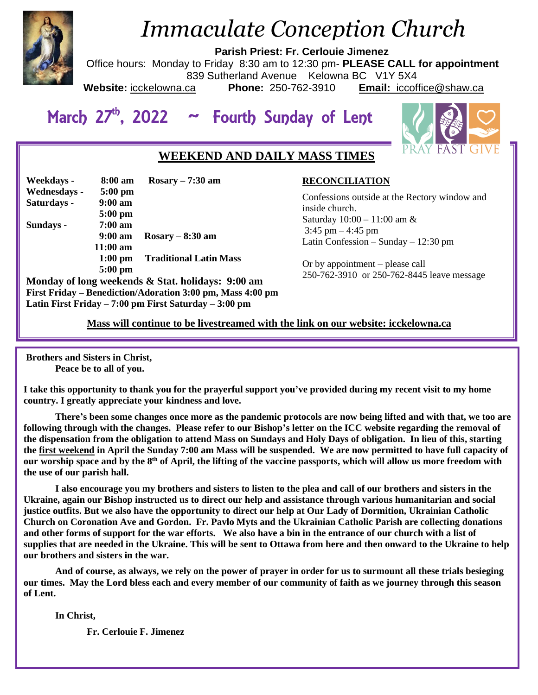

# *Immaculate Conception Church*

**Parish Priest: Fr. Cerlouie Jimenez**

Office hours: Monday to Friday 8:30 am to 12:30 pm- **PLEASE CALL for appointment** 839 Sutherland Avenue Kelowna BC V1Y 5X4<br>ca **Phone:** 250-762-3910 **Email:** iccofi

**Website:** icckelowna.ca **Phone:** 250-762-3910 **Email:** iccoffice@shaw.ca

# March 27<sup>th</sup>, 2022 ~ Fourth Sunday of Lent



# **WEEKEND AND DAILY MASS TIMES**

| Weekdays -   | 8:00 am            | $Rosary - 7:30$ am            |
|--------------|--------------------|-------------------------------|
| Wednesdays - | $5:00$ pm          |                               |
| Saturdays -  | $9:00 a$ m         |                               |
|              | $5:00$ pm          |                               |
| Sundays -    | $7:00~\text{am}$   |                               |
|              | $9:00 \text{ am}$  | $Rosary - 8:30 am$            |
|              | $11:00 \text{ am}$ |                               |
|              | $1:00$ pm          | <b>Traditional Latin Mass</b> |
|              | $5:00$ pm          |                               |

**Monday of long weekends & Stat. holidays: 9:00 am First Friday – Benediction/Adoration 3:00 pm, Mass 4:00 pm Latin First Friday – 7:00 pm First Saturday – 3:00 pm** 

## **RECONCILIATION**

Confessions outside at the Rectory window and inside church. Saturday 10:00 – 11:00 am &  $3:45$  pm  $-4:45$  pm Latin Confession – Sunday – 12:30 pm

Or by appointment – please call 250-762-3910 or 250-762-8445 leave message

 **Mass will continue to be livestreamed with the link on our website: icckelowna.ca**

**Brothers and Sisters in Christ, Peace be to all of you.**

**I take this opportunity to thank you for the prayerful support you've provided during my recent visit to my home country. I greatly appreciate your kindness and love.**

**There's been some changes once more as the pandemic protocols are now being lifted and with that, we too are following through with the changes. Please refer to our Bishop's letter on the ICC website regarding the removal of the dispensation from the obligation to attend Mass on Sundays and Holy Days of obligation. In lieu of this, starting the first weekend in April the Sunday 7:00 am Mass will be suspended. We are now permitted to have full capacity of our worship space and by the 8th of April, the lifting of the vaccine passports, which will allow us more freedom with the use of our parish hall.** 

**I also encourage you my brothers and sisters to listen to the plea and call of our brothers and sisters in the Ukraine, again our Bishop instructed us to direct our help and assistance through various humanitarian and social justice outfits. But we also have the opportunity to direct our help at Our Lady of Dormition, Ukrainian Catholic Church on Coronation Ave and Gordon. Fr. Pavlo Myts and the Ukrainian Catholic Parish are collecting donations and other forms of support for the war efforts. We also have a bin in the entrance of our church with a list of supplies that are needed in the Ukraine. This will be sent to Ottawa from here and then onward to the Ukraine to help our brothers and sisters in the war.** 

**And of course, as always, we rely on the power of prayer in order for us to surmount all these trials besieging our times. May the Lord bless each and every member of our community of faith as we journey through this season of Lent.**

**In Christ,** 

**Fr. Cerlouie F. Jimenez**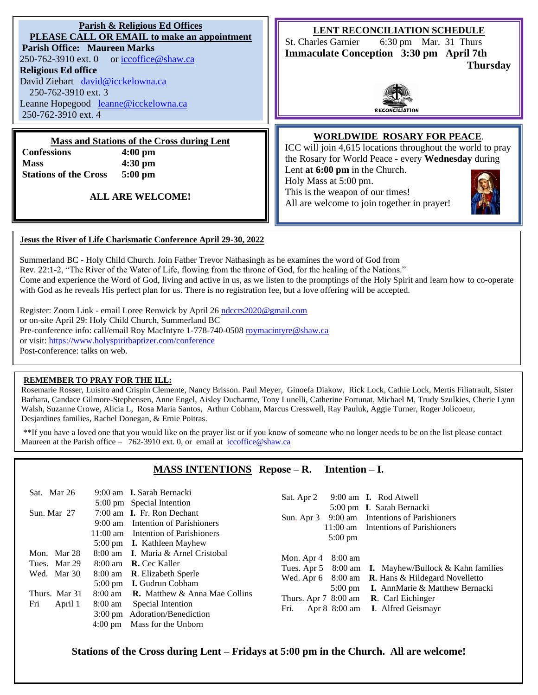**Parish & Religious Ed Offices PLEASE CALL OR EMAIL to make an appointment Parish Office: Maureen Marks**  250-762-3910 ext. 0 or [iccoffice@shaw.ca](mailto:iccoffice@shaw.ca) **Religious Ed office** David Ziebart [david@icckelowna.ca](mailto:david@icckelowna.ca)  250-762-3910 ext. 3 Leanne Hopegood [leanne@icckelowna.ca](mailto:leanne@icckelowna.ca) 250-762-3910 ext. 4 **LENT RECONCILIATION SCHEDULE** St. Charles Garnier 6:30 pm Mar. 31 Thurs **Immaculate Conception 3:30 pm April 7th Thursday Mass and Stations of the Cross during Lent Confessions 4:00 pm Mass 4:30 pm Stations of the Cross 5:00 pm ALL ARE WELCOME! WORLDWIDE ROSARY FOR PEACE**. ICC will join 4,615 locations throughout the world to pray the Rosary for World Peace - every **Wednesday** during Lent **at 6:00 pm** in the Church. Holy Mass at 5:00 pm. This is the weapon of our times! All are welcome to join together in prayer! **Jesus the River of Life Charismatic Conference April 29-30, 2022** Summerland BC - Holy Child Church. Join Father Trevor Nathasingh as he examines the word of God from Rev. 22:1-2, "The River of the Water of Life, flowing from the throne of God, for the healing of the Nations."

Come and experience the Word of God, living and active in us, as we listen to the promptings of the Holy Spirit and learn how to co-operate with God as he reveals His perfect plan for us. There is no registration fee, but a love offering will be accepted.

Register: Zoom Link - email Loree Renwick by April 26 [ndccrs2020@gmail.com](mailto:ndccrs2020@gmail.com) or on-site April 29: Holy Child Church, Summerland BC Pre-conference info: call/email Roy MacIntyre 1-778-740-050[8 roymacintyre@shaw.ca](mailto:roymacintyre@shaw.ca) or visit:<https://www.holyspiritbaptizer.com/conference> Post-conference: talks on web.

#### **REMEMBER TO PRAY FOR THE ILL:**

j

Rosemarie Rosser, Luisito and Crispin Clemente, Nancy Brisson. Paul Meyer, Ginoefa Diakow, Rick Lock, Cathie Lock, Mertis Filiatrault, Sister Barbara, Candace Gilmore-Stephensen, Anne Engel, Aisley Ducharme, Tony Lunelli, Catherine Fortunat, Michael M, Trudy Szulkies, Cherie Lynn Walsh, Suzanne Crowe, Alicia L, Rosa Maria Santos, Arthur Cobham, Marcus Cresswell, Ray Pauluk, Aggie Turner, Roger Jolicoeur, Desjardines families, Rachel Donegan, & Ernie Poitras.

\*\*If you have a loved one that you would like on the prayer list or if you know of someone who no longer needs to be on the list please contact Maureen at the Parish office – 762-3910 ext. 0, or email at iccoffice@shaw.ca

## **MASS INTENTIONS Repose – R. Intention – I.**

| Sat. Mar 26<br>Sun. Mar 27                                                    | 9:00 am <b>I.</b> Sarah Bernacki<br>5:00 pm Special Intention<br>7:00 am <b>I.</b> Fr. Ron Dechant<br>9:00 am Intention of Parishioners<br>11:00 am Intention of Parishioners<br>5:00 pm <b>I.</b> Kathleen Mayhew                                                                           | 9:00 am <b>I.</b> Rod Atwell<br>Sat. Apr 2<br>5:00 pm I. Sarah Bernacki<br>Sun. Apr 3 9:00 am Intentions of Parishioners<br>11:00 am Intentions of Parishioners<br>$5:00 \text{ pm}$                                                                                               |
|-------------------------------------------------------------------------------|----------------------------------------------------------------------------------------------------------------------------------------------------------------------------------------------------------------------------------------------------------------------------------------------|------------------------------------------------------------------------------------------------------------------------------------------------------------------------------------------------------------------------------------------------------------------------------------|
| Mon. Mar 28<br>Tues. Mar 29<br>Wed. Mar 30<br>Thurs. Mar 31<br>Fri<br>April 1 | 8:00 am I. Maria & Arnel Cristobal<br>8:00 am <b>R.</b> Cec Kaller<br>8:00 am <b>R</b> . Elizabeth Sperle<br>5:00 pm <b>I.</b> Gudrun Cobham<br>8:00 am <b>R.</b> Matthew & Anna Mae Collins<br>Special Intention<br>8:00 am<br>3:00 pm Adoration/Benediction<br>4:00 pm Mass for the Unborn | Mon. Apr $4\quad 8:00$ am<br>Tues. Apr 5 8:00 am I. Mayhew/Bullock & Kahn families<br>Wed. Apr 6 8:00 am R. Hans & Hildegard Novelletto<br>5:00 pm I. AnnMarie & Matthew Bernacki<br>Thurs. Apr $7\,8:00$ am <b>R</b> . Carl Eichinger<br>Apr 8 8:00 am I. Alfred Geismayr<br>Fri. |

**Stations of the Cross during Lent – Fridays at 5:00 pm in the Church. All are welcome!**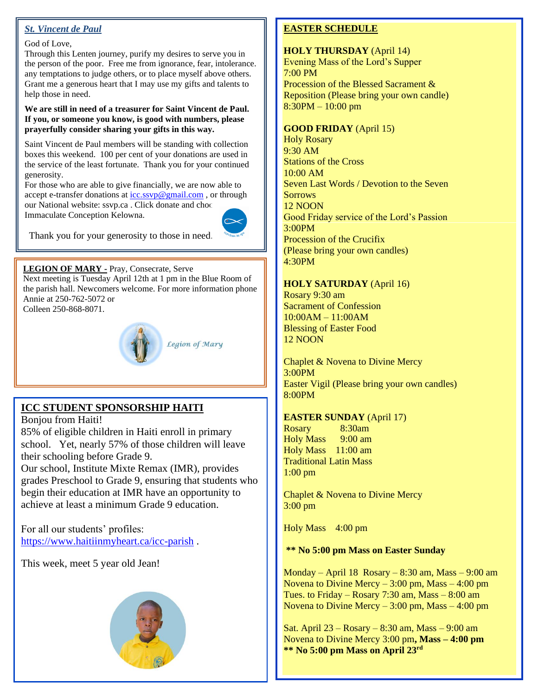# *St. Vincent de Paul*

#### God of Love,

Through this Lenten journey, purify my desires to serve you in the person of the poor. Free me from ignorance, fear, intolerance. any temptations to judge others, or to place myself above others. Grant me a generous heart that I may use my gifts and talents to help those in need.

#### **We are still in need of a treasurer for Saint Vincent de Paul. If you, or someone you know, is good with numbers, please prayerfully consider sharing your gifts in this way.**

Saint Vincent de Paul members will be standing with collection boxes this weekend. 100 per cent of your donations are used in the service of the least fortunate. Thank you for your continued generosity.

For those who are able to give financially, we are now able to accept e-transfer donations at [icc.ssvp@gmail.com](mailto:icc.ssvp@gmail.com), or through our National website: ssvp.ca . Click donate and choo Immaculate Conception Kelowna.



Thank you for your generosity to those in need.

#### **LEGION OF MARY -** Pray, Consecrate, Serve

Next meeting is Tuesday April 12th at 1 pm in the Blue Room of the parish hall. Newcomers welcome. For more information phone Annie at 250-762-5072 or Colleen 250-868-8071.



# **ICC STUDENT SPONSORSHIP HAITI**

Bonjou from Haiti! 85% of eligible children in Haiti enroll in primary school. Yet, nearly 57% of those children will leave their schooling before Grade 9.

Our school, Institute Mixte Remax (IMR), provides grades Preschool to Grade 9, ensuring that students who begin their education at IMR have an opportunity to achieve at least a minimum Grade 9 education.

For all our students' profiles: <https://www.haitiinmyheart.ca/icc-parish> .

This week, meet 5 year old Jean!



# **EASTER SCHEDULE**

**HOLY THURSDAY** (April 14) Evening Mass of the Lord's Supper 7:00 PM Procession of the Blessed Sacrament & Reposition (Please bring your own candle) 8:30PM – 10:00 pm

## **GOOD FRIDAY** (April 15)

Holy Rosary 9:30 AM Stations of the Cross 10:00 AM Seven Last Words / Devotion to the Seven **Sorrows** 12 NOON Good Friday service of the Lord's Passion 3:00PM Procession of the Crucifix (Please bring your own candles) 4:30PM

#### **HOLY SATURDAY** (April 16)

Rosary 9:30 am Sacrament of Confession 10:00AM – 11:00AM Blessing of Easter Food 12 NOON

Chaplet & Novena to Divine Mercy 3:00PM Easter Vigil (Please bring your own candles) 8:00PM

### **EASTER SUNDAY** (April 17)

Rosary 8:30am Holy Mass 9:00 am Holy Mass 11:00 am Traditional Latin Mass 1:00 pm

Chaplet & Novena to Divine Mercy 3:00 pm

Holy Mass 4:00 pm

## **\*\* No 5:00 pm Mass on Easter Sunday**

Monday – April 18 Rosary – 8:30 am, Mass – 9:00 am Novena to Divine Mercy  $-3:00$  pm, Mass  $-4:00$  pm Tues. to Friday – Rosary 7:30 am, Mass – 8:00 am Novena to Divine Mercy – 3:00 pm, Mass – 4:00 pm

Sat. April 23 – Rosary – 8:30 am, Mass – 9:00 am Novena to Divine Mercy 3:00 pm**, Mass – 4:00 pm \*\* No 5:00 pm Mass on April 23rd**